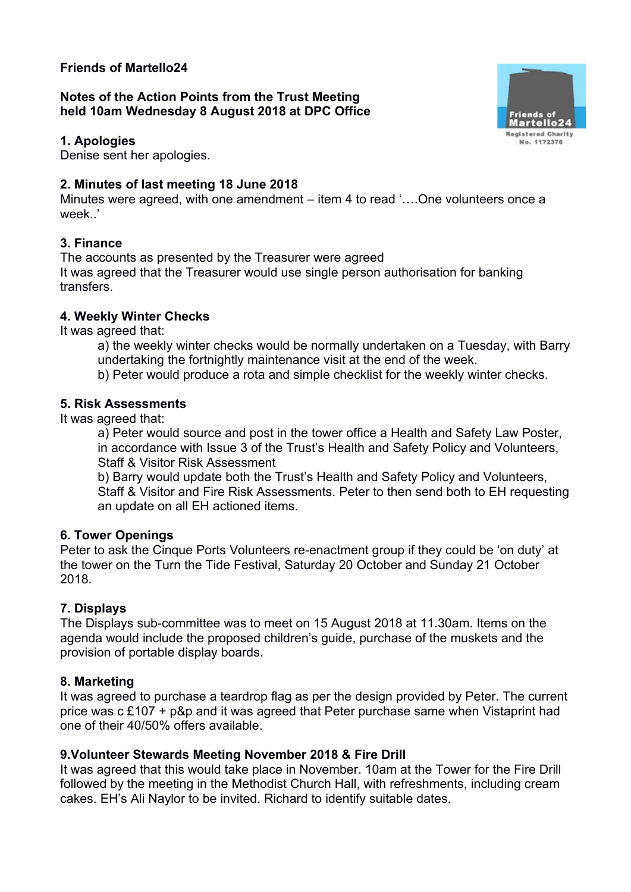# **Friends of Martello24**

**Notes of the Action Points from the Trust Meeting held 10am Wednesday 8 August 2018 at DPC Office**

#### **1. Apologies**

Denise sent her apologies.

# **2. Minutes of last meeting 18 June 2018**

Minutes were agreed, with one amendment – item 4 to read '….One volunteers once a week<sup>'</sup>

# **3. Finance**

The accounts as presented by the Treasurer were agreed It was agreed that the Treasurer would use single person authorisation for banking transfers.

## **4. Weekly Winter Checks**

It was agreed that:

- a) the weekly winter checks would be normally undertaken on a Tuesday, with Barry undertaking the fortnightly maintenance visit at the end of the week.
- b) Peter would produce a rota and simple checklist for the weekly winter checks.

## **5. Risk Assessments**

It was agreed that:

a) Peter would source and post in the tower office a Health and Safety Law Poster, in accordance with Issue 3 of the Trust's Health and Safety Policy and Volunteers, Staff & Visitor Risk Assessment

b) Barry would update both the Trust's Health and Safety Policy and Volunteers, Staff & Visitor and Fire Risk Assessments. Peter to then send both to EH requesting an update on all EH actioned items.

## **6. Tower Openings**

Peter to ask the Cinque Ports Volunteers re-enactment group if they could be 'on duty' at the tower on the Turn the Tide Festival, Saturday 20 October and Sunday 21 October 2018.

## **7. Displays**

The Displays sub-committee was to meet on 15 August 2018 at 11.30am. Items on the agenda would include the proposed children's guide, purchase of the muskets and the provision of portable display boards.

## **8. Marketing**

It was agreed to purchase a teardrop flag as per the design provided by Peter. The current price was c £107 + p&p and it was agreed that Peter purchase same when Vistaprint had one of their 40/50% offers available.

## **9.Volunteer Stewards Meeting November 2018 & Fire Drill**

It was agreed that this would take place in November. 10am at the Tower for the Fire Drill followed by the meeting in the Methodist Church Hall, with refreshments, including cream cakes. EH's Ali Naylor to be invited. Richard to identify suitable dates.